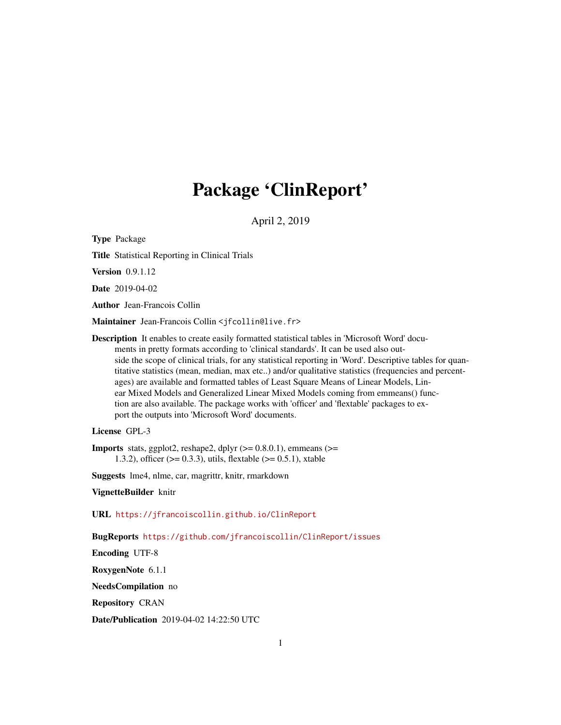# Package 'ClinReport'

April 2, 2019

<span id="page-0-0"></span>Type Package

Title Statistical Reporting in Clinical Trials

**Version** 0.9.1.12

Date 2019-04-02

Author Jean-Francois Collin

Maintainer Jean-Francois Collin <jfcollin@live.fr>

Description It enables to create easily formatted statistical tables in 'Microsoft Word' documents in pretty formats according to 'clinical standards'. It can be used also outside the scope of clinical trials, for any statistical reporting in 'Word'. Descriptive tables for quantitative statistics (mean, median, max etc..) and/or qualitative statistics (frequencies and percentages) are available and formatted tables of Least Square Means of Linear Models, Linear Mixed Models and Generalized Linear Mixed Models coming from emmeans() function are also available. The package works with 'officer' and 'flextable' packages to export the outputs into 'Microsoft Word' documents.

License GPL-3

**Imports** stats, ggplot2, reshape2, dplyr  $(>= 0.8.0.1)$ , emmeans  $(>=$ 1.3.2), officer ( $> = 0.3.3$ ), utils, flextable ( $> = 0.5.1$ ), xtable

Suggests lme4, nlme, car, magrittr, knitr, rmarkdown

VignetteBuilder knitr

URL <https://jfrancoiscollin.github.io/ClinReport>

BugReports <https://github.com/jfrancoiscollin/ClinReport/issues>

Encoding UTF-8

RoxygenNote 6.1.1

NeedsCompilation no

Repository CRAN

Date/Publication 2019-04-02 14:22:50 UTC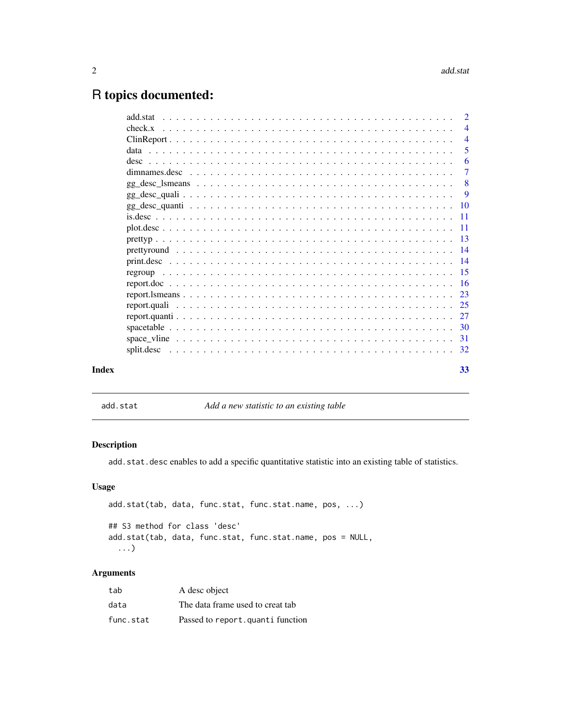# <span id="page-1-0"></span>R topics documented:

|       | add.stat | $\overline{2}$ |
|-------|----------|----------------|
|       |          | $\overline{4}$ |
|       |          | $\overline{4}$ |
|       |          | 5              |
|       |          | 6              |
|       |          | $\overline{7}$ |
|       |          | -8             |
|       |          | - 9            |
|       |          |                |
|       |          |                |
|       |          |                |
|       |          |                |
|       |          |                |
|       |          |                |
|       |          |                |
|       |          |                |
|       |          |                |
|       |          |                |
|       |          |                |
|       |          |                |
|       |          |                |
|       |          |                |
| Index |          | 33             |

add.stat *Add a new statistic to an existing table*

# Description

add.stat.desc enables to add a specific quantitative statistic into an existing table of statistics.

# Usage

```
add.stat(tab, data, func.stat, func.stat.name, pos, ...)
## S3 method for class 'desc'
add.stat(tab, data, func.stat, func.stat.name, pos = NULL,
  ...)
```
# Arguments

| tab       | A desc object                    |
|-----------|----------------------------------|
| data      | The data frame used to creat tab |
| func.stat | Passed to report.quanti function |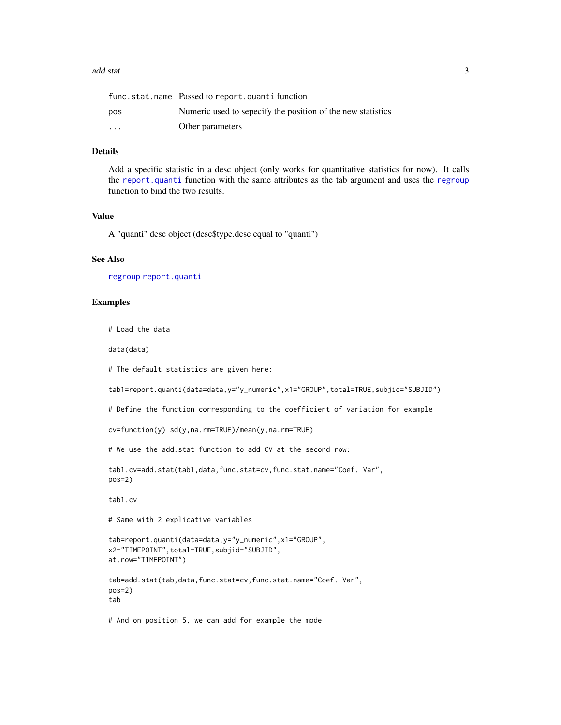#### <span id="page-2-0"></span>add.stat 3

|          | func.stat.name Passed to report.quanti function             |
|----------|-------------------------------------------------------------|
| pos      | Numeric used to sepecify the position of the new statistics |
| $\cdots$ | Other parameters                                            |

#### Details

Add a specific statistic in a desc object (only works for quantitative statistics for now). It calls the [report.quanti](#page-26-1) function with the same attributes as the tab argument and uses the [regroup](#page-14-1) function to bind the two results.

#### Value

A "quanti" desc object (desc\$type.desc equal to "quanti")

#### See Also

[regroup](#page-14-1) [report.quanti](#page-26-1)

#### Examples

# Load the data

data(data)

```
# The default statistics are given here:
```

```
tab1=report.quanti(data=data,y="y_numeric",x1="GROUP",total=TRUE,subjid="SUBJID")
```
# Define the function corresponding to the coefficient of variation for example

```
cv=function(y) sd(y,na.rm=TRUE)/mean(y,na.rm=TRUE)
```
# We use the add.stat function to add CV at the second row:

```
tab1.cv=add.stat(tab1,data,func.stat=cv,func.stat.name="Coef. Var",
pos=2)
```
tab1.cv

# Same with 2 explicative variables

```
tab=report.quanti(data=data,y="y_numeric",x1="GROUP",
x2="TIMEPOINT",total=TRUE,subjid="SUBJID",
at.row="TIMEPOINT")
```
tab=add.stat(tab,data,func.stat=cv,func.stat.name="Coef. Var", pos=2) tab

# And on position 5, we can add for example the mode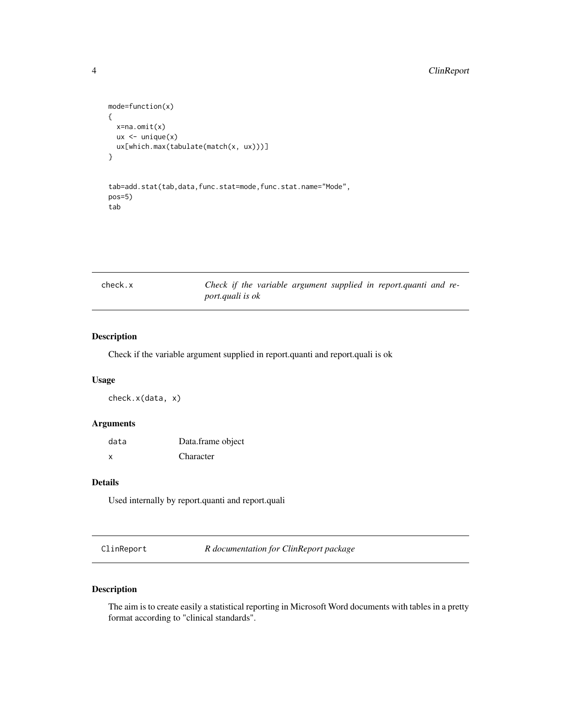```
mode=function(x)
{
  x=na.omit(x)
  ux < - unique(x)ux[which.max(tabulate(match(x, ux)))]
}
```

```
tab=add.stat(tab,data,func.stat=mode,func.stat.name="Mode",
pos=5)
tab
```
check.x *Check if the variable argument supplied in report.quanti and report.quali is ok*

# Description

Check if the variable argument supplied in report.quanti and report.quali is ok

#### Usage

check.x(data, x)

#### Arguments

| data | Data.frame object |
|------|-------------------|
| x    | Character         |

# Details

Used internally by report.quanti and report.quali

ClinReport *R documentation for ClinReport package*

# Description

The aim is to create easily a statistical reporting in Microsoft Word documents with tables in a pretty format according to "clinical standards".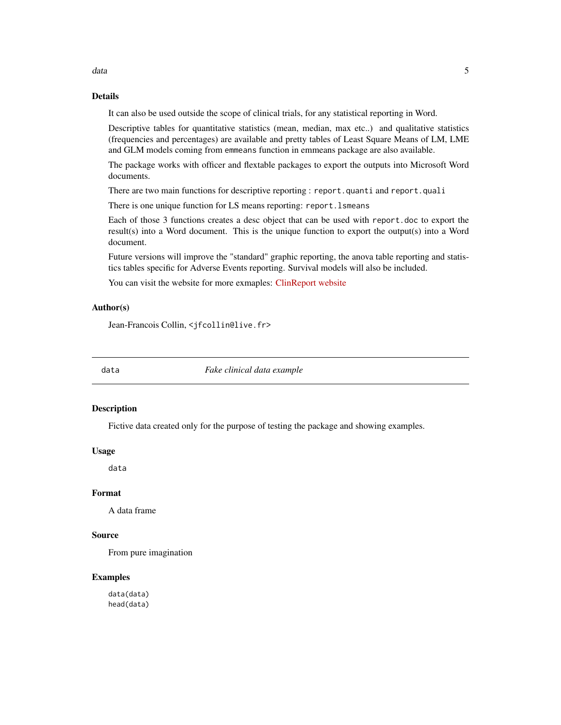<span id="page-4-0"></span>data and the set of the set of the set of the set of the set of the set of the set of the set of the set of the set of the set of the set of the set of the set of the set of the set of the set of the set of the set of the

# Details

It can also be used outside the scope of clinical trials, for any statistical reporting in Word.

Descriptive tables for quantitative statistics (mean, median, max etc..) and qualitative statistics (frequencies and percentages) are available and pretty tables of Least Square Means of LM, LME and GLM models coming from emmeans function in emmeans package are also available.

The package works with officer and flextable packages to export the outputs into Microsoft Word documents.

There are two main functions for descriptive reporting : report.quanti and report.quali

There is one unique function for LS means reporting: report.lsmeans

Each of those 3 functions creates a desc object that can be used with report.doc to export the result(s) into a Word document. This is the unique function to export the output(s) into a Word document.

Future versions will improve the "standard" graphic reporting, the anova table reporting and statistics tables specific for Adverse Events reporting. Survival models will also be included.

You can visit the website for more exmaples: [ClinReport website](https://jfrancoiscollin.github.io/ClinReport)

#### Author(s)

Jean-Francois Collin, <jfcollin@live.fr>

data *Fake clinical data example*

#### Description

Fictive data created only for the purpose of testing the package and showing examples.

#### Usage

data

#### Format

A data frame

#### Source

From pure imagination

#### Examples

data(data) head(data)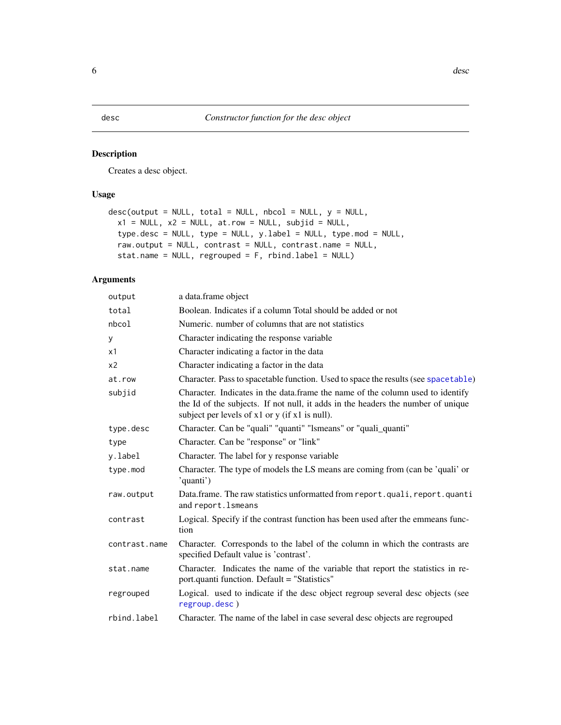<span id="page-5-1"></span><span id="page-5-0"></span>Creates a desc object.

# Usage

```
desc(output = NULL, total = NULL, nbcol = NULL, y = NULL,x1 = NULL, x2 = NULL, at.row = NULL, subjid = NULL,
  type.desc = NULL, type = NULL, y.label = NULL, type.mod = NULL,
 raw.output = NULL, contrast = NULL, contrast.name = NULL,
  stat.name = NULL, regrouped = F, rbind.label = NULL)
```
# Arguments

| output         | a data.frame object                                                                                                                                                                                                        |
|----------------|----------------------------------------------------------------------------------------------------------------------------------------------------------------------------------------------------------------------------|
| total          | Boolean. Indicates if a column Total should be added or not                                                                                                                                                                |
| nbcol          | Numeric, number of columns that are not statistics                                                                                                                                                                         |
| У              | Character indicating the response variable                                                                                                                                                                                 |
| x1             | Character indicating a factor in the data                                                                                                                                                                                  |
| x <sub>2</sub> | Character indicating a factor in the data                                                                                                                                                                                  |
| at.row         | Character. Pass to spacetable function. Used to space the results (see spacetable)                                                                                                                                         |
| subjid         | Character. Indicates in the data.frame the name of the column used to identify<br>the Id of the subjects. If not null, it adds in the headers the number of unique<br>subject per levels of $x1$ or $y$ (if $x1$ is null). |
| type.desc      | Character. Can be "quali" "quanti" "Ismeans" or "quali_quanti"                                                                                                                                                             |
| type           | Character. Can be "response" or "link"                                                                                                                                                                                     |
| y.label        | Character. The label for y response variable                                                                                                                                                                               |
| type.mod       | Character. The type of models the LS means are coming from (can be 'quali' or<br>'quanti')                                                                                                                                 |
| raw.output     | Data.frame. The raw statistics unformatted from report.quali, report.quanti<br>and report. Ismeans                                                                                                                         |
| contrast       | Logical. Specify if the contrast function has been used after the emmeans func-<br>tion                                                                                                                                    |
| contrast.name  | Character. Corresponds to the label of the column in which the contrasts are<br>specified Default value is 'contrast'.                                                                                                     |
| stat.name      | Character. Indicates the name of the variable that report the statistics in re-<br>port.quanti function. Default = "Statistics"                                                                                            |
| regrouped      | Logical. used to indicate if the desc object regroup several desc objects (see<br>regroup.desc)                                                                                                                            |
| rbind.label    | Character. The name of the label in case several desc objects are regrouped                                                                                                                                                |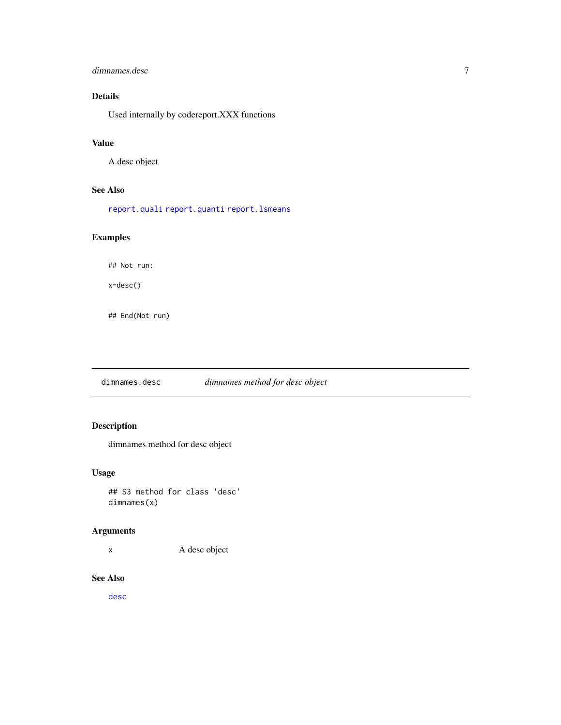# <span id="page-6-0"></span>dimnames.desc 7

# Details

Used internally by codereport.XXX functions

# Value

A desc object

#### See Also

[report.quali](#page-24-1) [report.quanti](#page-26-1) [report.lsmeans](#page-22-1)

# Examples

## Not run:

x=desc()

## End(Not run)

dimnames.desc *dimnames method for desc object*

# Description

dimnames method for desc object

#### Usage

## S3 method for class 'desc' dimnames(x)

#### Arguments

x A desc object

#### See Also

[desc](#page-5-1)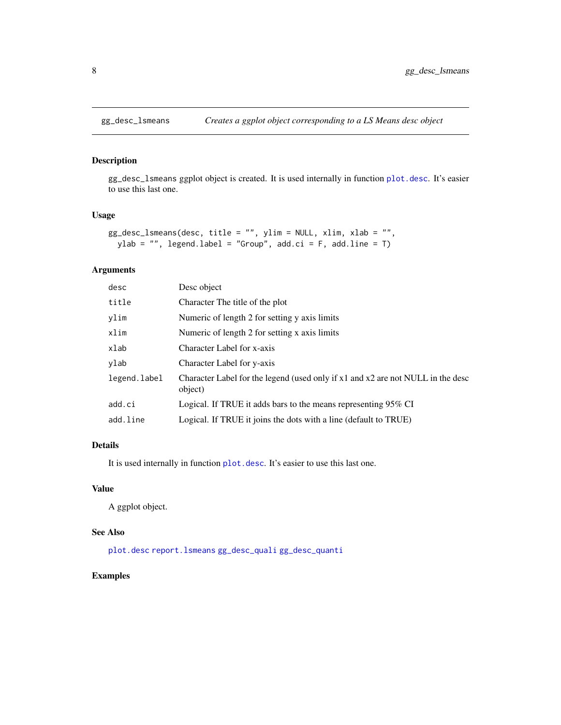<span id="page-7-1"></span><span id="page-7-0"></span>

gg\_desc\_lsmeans ggplot object is created. It is used internally in function [plot.desc](#page-10-1). It's easier to use this last one.

#### Usage

```
gg_desc_lsmeans(desc, title = "", ylim = NULL, xlim, xlab = "",
 ylab = "", legend.label = "Group", add.ci = F, add.line = T)
```
# Arguments

| desc         | Desc object                                                                                |
|--------------|--------------------------------------------------------------------------------------------|
| title        | Character The title of the plot                                                            |
| ylim         | Numeric of length 2 for setting y axis limits                                              |
| xlim         | Numeric of length 2 for setting x axis limits                                              |
| xlab         | Character Label for x-axis                                                                 |
| ylab         | Character Label for y-axis                                                                 |
| legend.label | Character Label for the legend (used only if x1 and x2 are not NULL in the desc<br>object) |
| add.ci       | Logical. If TRUE it adds bars to the means representing 95% CI                             |
| add.line     | Logical. If TRUE it joins the dots with a line (default to TRUE)                           |
|              |                                                                                            |

# Details

It is used internally in function [plot.desc](#page-10-1). It's easier to use this last one.

# Value

A ggplot object.

#### See Also

[plot.desc](#page-10-1) [report.lsmeans](#page-22-1) [gg\\_desc\\_quali](#page-8-1) [gg\\_desc\\_quanti](#page-9-1)

#### Examples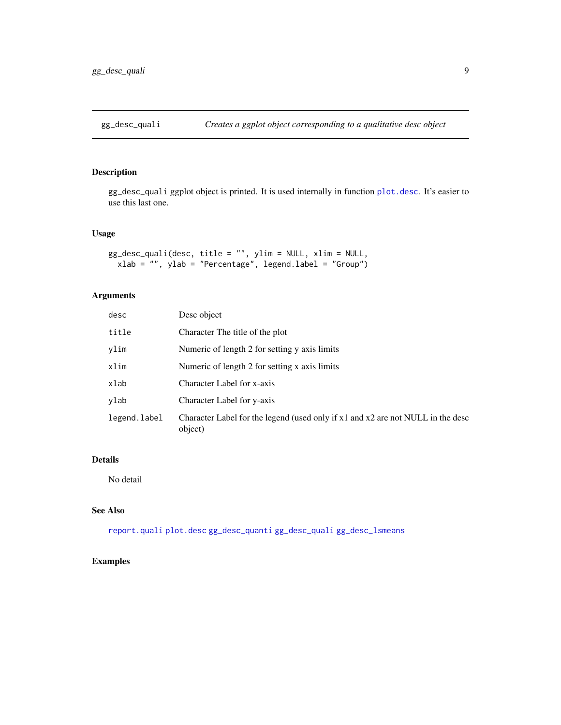<span id="page-8-1"></span><span id="page-8-0"></span>

gg\_desc\_quali ggplot object is printed. It is used internally in function [plot.desc](#page-10-1). It's easier to use this last one.

#### Usage

```
gg_desc_quali(desc, title = "", ylim = NULL, xlim = NULL,
 xlab = "", ylab = "Percentage", legend.label = "Group")
```
# Arguments

| desc         | Desc object                                                                                |
|--------------|--------------------------------------------------------------------------------------------|
| title        | Character The title of the plot                                                            |
| ylim         | Numeric of length 2 for setting y axis limits                                              |
| xlim         | Numeric of length 2 for setting x axis limits                                              |
| xlab         | Character Label for x-axis                                                                 |
| ylab         | Character Label for y-axis                                                                 |
| legend.label | Character Label for the legend (used only if x1 and x2 are not NULL in the desc<br>object) |

# Details

No detail

#### See Also

[report.quali](#page-24-1) [plot.desc](#page-10-1) [gg\\_desc\\_quanti](#page-9-1) [gg\\_desc\\_quali](#page-8-1) [gg\\_desc\\_lsmeans](#page-7-1)

# Examples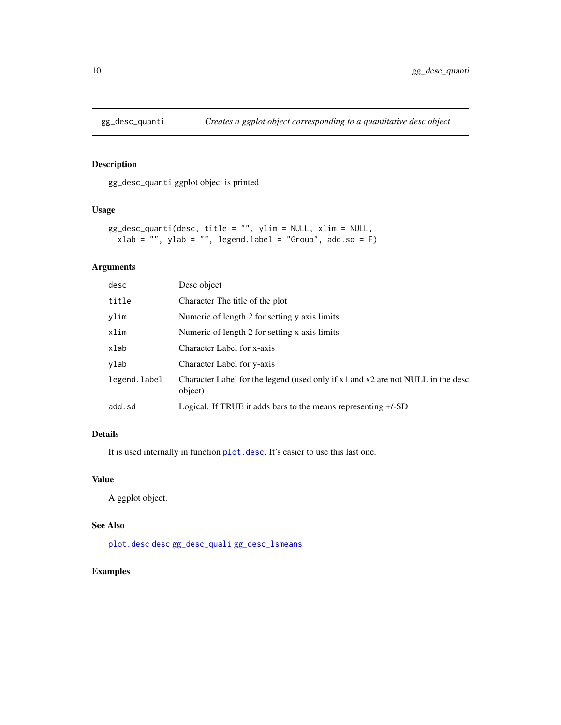<span id="page-9-1"></span><span id="page-9-0"></span>

gg\_desc\_quanti ggplot object is printed

#### Usage

```
gg_desc_quanti(desc, title = "", ylim = NULL, xlim = NULL,
 xlab = "", ylab = "", legend.label = "Group", add.sd = F)
```
# Arguments

| desc         | Desc object                                                                                |
|--------------|--------------------------------------------------------------------------------------------|
| title        | Character The title of the plot                                                            |
| ylim         | Numeric of length 2 for setting y axis limits                                              |
| xlim         | Numeric of length 2 for setting x axis limits                                              |
| xlab         | Character Label for x-axis                                                                 |
| ylab         | Character Label for y-axis                                                                 |
| legend.label | Character Label for the legend (used only if x1 and x2 are not NULL in the desc<br>object) |
| add.sd       | Logical. If TRUE it adds bars to the means representing +/-SD                              |

# Details

It is used internally in function [plot.desc](#page-10-1). It's easier to use this last one.

# Value

A ggplot object.

# See Also

[plot.desc](#page-10-1) [desc](#page-5-1) [gg\\_desc\\_quali](#page-8-1) [gg\\_desc\\_lsmeans](#page-7-1)

# Examples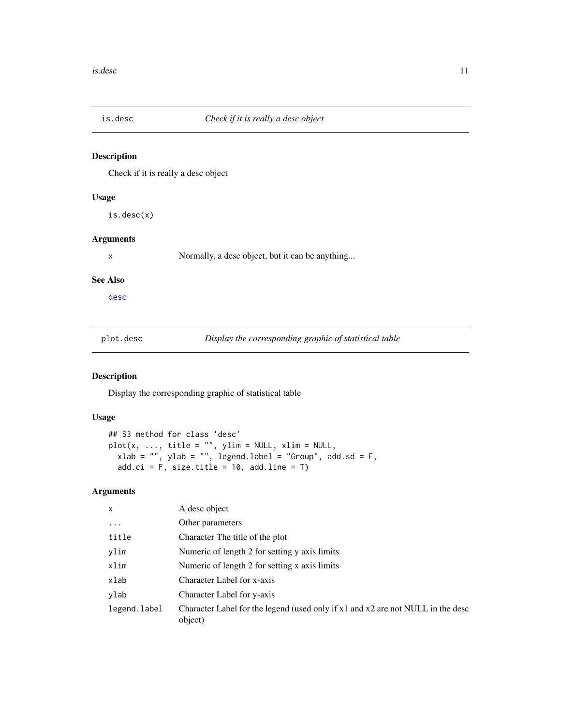<span id="page-10-0"></span>

Check if it is really a desc object

# Usage

is.desc(x)

# Arguments

x Normally, a desc object, but it can be anything...

#### See Also

[desc](#page-5-1)

<span id="page-10-1"></span>plot.desc *Display the corresponding graphic of statistical table*

#### Description

Display the corresponding graphic of statistical table

#### Usage

```
## S3 method for class 'desc'
plot(x, ..., title = "", ylim = NULL, xlim = NULL,
  xlab = "", ylab = "", legend-label = "Group", add.sd = F,add.ci = F, size.title = 10, add.line = T)
```
# Arguments

| $\mathsf{x}$ | A desc object                                                                              |
|--------------|--------------------------------------------------------------------------------------------|
| $\cdots$     | Other parameters                                                                           |
| title        | Character The title of the plot                                                            |
| ylim         | Numeric of length 2 for setting y axis limits                                              |
| xlim         | Numeric of length 2 for setting x axis limits                                              |
| xlab         | Character Label for x-axis                                                                 |
| ylab         | Character Label for y-axis                                                                 |
| legend.label | Character Label for the legend (used only if x1 and x2 are not NULL in the desc<br>object) |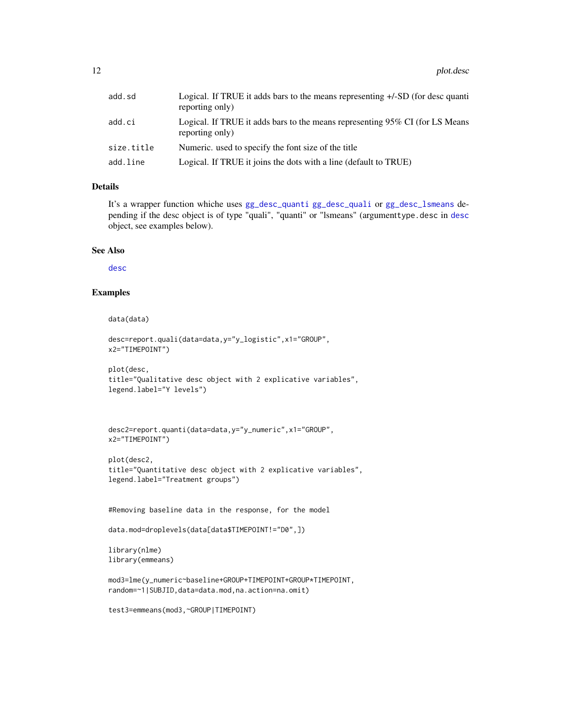<span id="page-11-0"></span>

| add.sd     | Logical. If TRUE it adds bars to the means representing +/-SD (for desc quanti<br>reporting only) |
|------------|---------------------------------------------------------------------------------------------------|
| add.ci     | Logical. If TRUE it adds bars to the means representing 95% CI (for LS Means<br>reporting only)   |
| size.title | Numeric, used to specify the font size of the title                                               |
| add.line   | Logical. If TRUE it joins the dots with a line (default to TRUE)                                  |

# Details

It's a wrapper function whiche uses [gg\\_desc\\_quanti](#page-9-1) [gg\\_desc\\_quali](#page-8-1) or [gg\\_desc\\_lsmeans](#page-7-1) depending if the desc object is of type "quali", "quanti" or "lsmeans" (argumenttype.desc in [desc](#page-5-1) object, see examples below).

#### See Also

[desc](#page-5-1)

#### Examples

```
data(data)
```

```
desc=report.quali(data=data,y="y_logistic",x1="GROUP",
x2="TIMEPOINT")
```

```
plot(desc,
title="Qualitative desc object with 2 explicative variables",
legend.label="Y levels")
```

```
desc2=report.quanti(data=data,y="y_numeric",x1="GROUP",
x2="TIMEPOINT")
```

```
plot(desc2,
title="Quantitative desc object with 2 explicative variables",
legend.label="Treatment groups")
```
#Removing baseline data in the response, for the model

```
data.mod=droplevels(data[data$TIMEPOINT!="D0",])
```

```
library(nlme)
library(emmeans)
```

```
mod3=lme(y_numeric~baseline+GROUP+TIMEPOINT+GROUP*TIMEPOINT,
random=~1|SUBJID,data=data.mod,na.action=na.omit)
```
test3=emmeans(mod3,~GROUP|TIMEPOINT)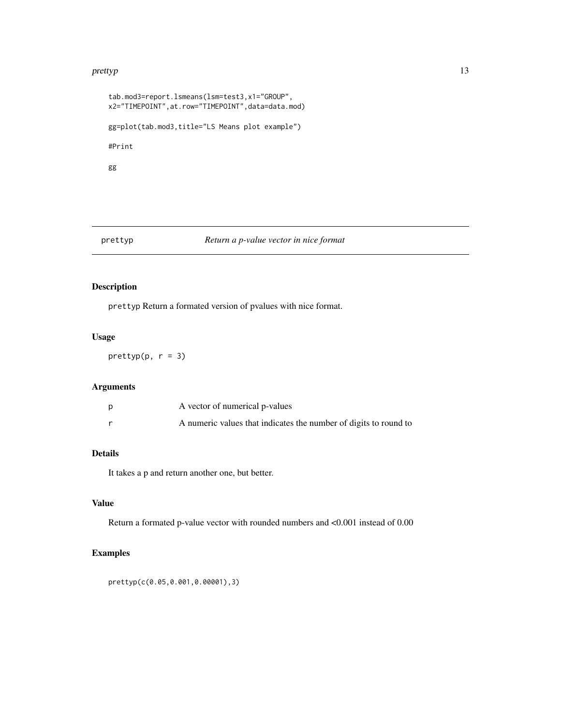#### <span id="page-12-0"></span>prettyp and the set of the set of the set of the set of the set of the set of the set of the set of the set of the set of the set of the set of the set of the set of the set of the set of the set of the set of the set of t

```
tab.mod3=report.lsmeans(lsm=test3,x1="GROUP",
x2="TIMEPOINT",at.row="TIMEPOINT",data=data.mod)
gg=plot(tab.mod3,title="LS Means plot example")
#Print
gg
```
#### prettyp *Return a p-value vector in nice format*

# Description

prettyp Return a formated version of pvalues with nice format.

# Usage

 $prettyp(p, r = 3)$ 

# Arguments

| A vector of numerical p-values                                   |
|------------------------------------------------------------------|
| A numeric values that indicates the number of digits to round to |

# Details

It takes a p and return another one, but better.

#### Value

Return a formated p-value vector with rounded numbers and <0.001 instead of 0.00

# Examples

prettyp(c(0.05,0.001,0.00001),3)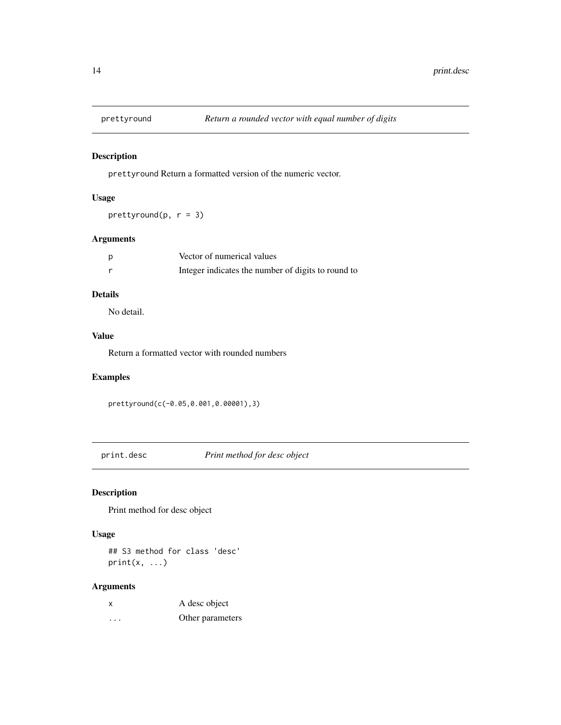<span id="page-13-0"></span>

prettyround Return a formatted version of the numeric vector.

# Usage

prettyround(p,  $r = 3$ )

#### Arguments

| Vector of numerical values                         |
|----------------------------------------------------|
| Integer indicates the number of digits to round to |

# Details

No detail.

# Value

Return a formatted vector with rounded numbers

# Examples

prettyround(c(-0.05,0.001,0.00001),3)

print.desc *Print method for desc object*

# Description

Print method for desc object

#### Usage

## S3 method for class 'desc'  $print(x, \ldots)$ 

# Arguments

| X | A desc object    |
|---|------------------|
| . | Other parameters |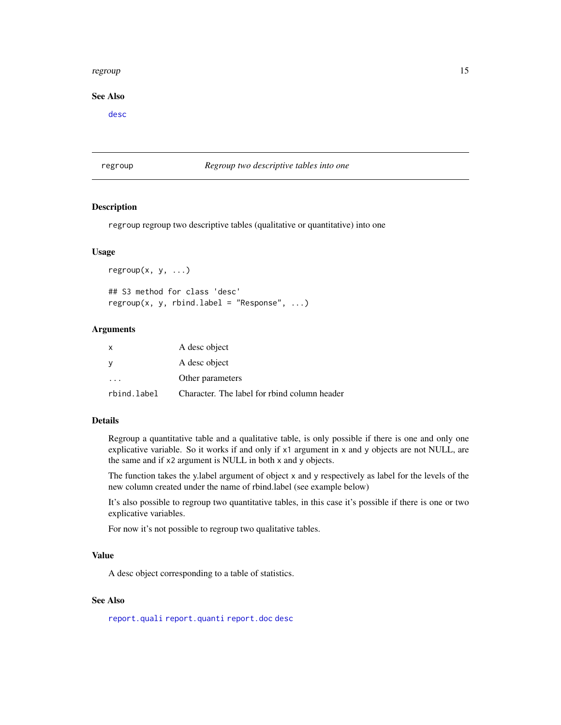#### <span id="page-14-0"></span>regroup that the contract of the contract of the contract of the contract of the contract of the contract of the contract of the contract of the contract of the contract of the contract of the contract of the contract of t

#### See Also

[desc](#page-5-1)

# <span id="page-14-1"></span>regroup *Regroup two descriptive tables into one*

# <span id="page-14-2"></span>Description

regroup regroup two descriptive tables (qualitative or quantitative) into one

#### Usage

```
regroup(x, y, ...)## S3 method for class 'desc'
regroup(x, y, rbind.label = "Response", ...)
```
#### Arguments

| X           | A desc object                                |
|-------------|----------------------------------------------|
| - V         | A desc object                                |
| $\cdots$    | Other parameters                             |
| rbind.label | Character. The label for rbind column header |

#### Details

Regroup a quantitative table and a qualitative table, is only possible if there is one and only one explicative variable. So it works if and only if x1 argument in x and y objects are not NULL, are the same and if x2 argument is NULL in both x and y objects.

The function takes the y.label argument of object x and y respectively as label for the levels of the new column created under the name of rbind.label (see example below)

It's also possible to regroup two quantitative tables, in this case it's possible if there is one or two explicative variables.

For now it's not possible to regroup two qualitative tables.

#### Value

A desc object corresponding to a table of statistics.

#### See Also

[report.quali](#page-24-1) [report.quanti](#page-26-1) [report.doc](#page-15-1) [desc](#page-5-1)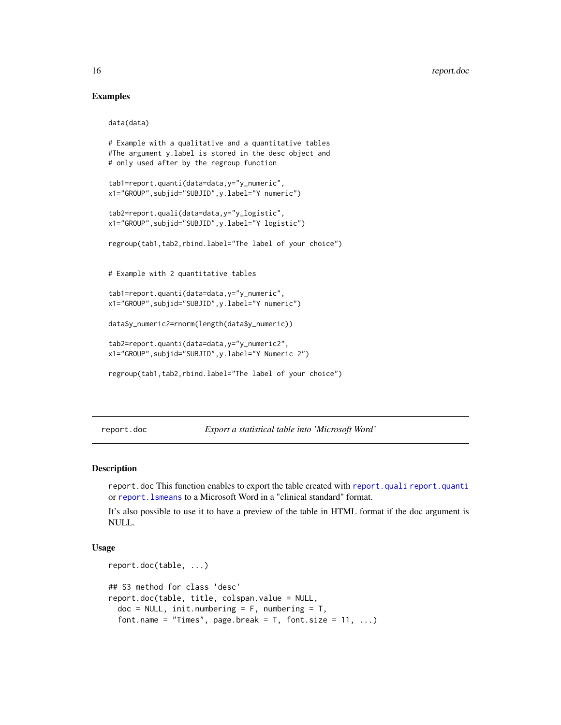#### Examples

```
data(data)
# Example with a qualitative and a quantitative tables
#The argument y.label is stored in the desc object and
# only used after by the regroup function
tab1=report.quanti(data=data,y="y_numeric",
x1="GROUP",subjid="SUBJID",y.label="Y numeric")
tab2=report.quali(data=data,y="y_logistic",
x1="GROUP",subjid="SUBJID",y.label="Y logistic")
regroup(tab1,tab2,rbind.label="The label of your choice")
# Example with 2 quantitative tables
```

```
tab1=report.quanti(data=data,y="y_numeric",
x1="GROUP",subjid="SUBJID",y.label="Y numeric")
```

```
data$y_numeric2=rnorm(length(data$y_numeric))
```

```
tab2=report.quanti(data=data,y="y_numeric2",
x1="GROUP",subjid="SUBJID",y.label="Y Numeric 2")
```

```
regroup(tab1,tab2,rbind.label="The label of your choice")
```
<span id="page-15-1"></span>report.doc *Export a statistical table into 'Microsoft Word'*

#### Description

report.doc This function enables to export the table created with [report.quali](#page-24-1) [report.quanti](#page-26-1) or [report.lsmeans](#page-22-1) to a Microsoft Word in a "clinical standard" format.

It's also possible to use it to have a preview of the table in HTML format if the doc argument is NULL.

#### Usage

```
report.doc(table, ...)
## S3 method for class 'desc'
report.doc(table, title, colspan.value = NULL,
  doc = NULL, init.numbering = F, numbering = T,
  font.name = "Times", page.break = T, font.size = 11, ...)
```
<span id="page-15-0"></span>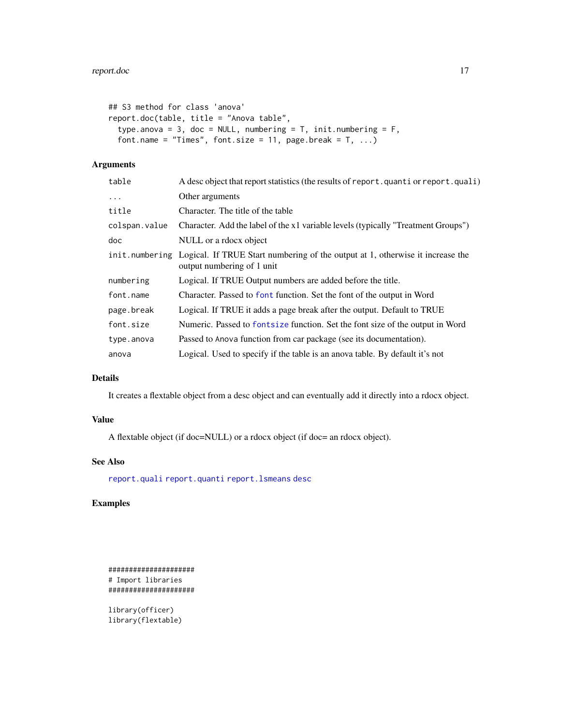```
## S3 method for class 'anova'
report.doc(table, title = "Anova table",
 type.anova = 3, doc = NULL, numbering = T, init.numbering = F,
 font.name = "Times", font.size = 11, page.break = T, ...)
```
# Arguments

| table          | A desc object that report statistics (the results of report. quanti or report. quali)                        |  |
|----------------|--------------------------------------------------------------------------------------------------------------|--|
| $\ddots$       | Other arguments                                                                                              |  |
| title          | Character. The title of the table                                                                            |  |
| colspan.value  | Character. Add the label of the x1 variable levels (typically "Treatment Groups")                            |  |
| doc            | NULL or a rdocx object                                                                                       |  |
| init.numbering | Logical. If TRUE Start numbering of the output at 1, otherwise it increase the<br>output numbering of 1 unit |  |
| numbering      | Logical. If TRUE Output numbers are added before the title.                                                  |  |
| font.name      | Character. Passed to font function. Set the font of the output in Word                                       |  |
| page.break     | Logical. If TRUE it adds a page break after the output. Default to TRUE                                      |  |
| font.size      | Numeric. Passed to font size function. Set the font size of the output in Word                               |  |
| type.anova     | Passed to Anova function from car package (see its documentation).                                           |  |
| anova          | Logical. Used to specify if the table is an anova table. By default it's not                                 |  |
|                |                                                                                                              |  |

# Details

It creates a flextable object from a desc object and can eventually add it directly into a rdocx object.

#### Value

A flextable object (if doc=NULL) or a rdocx object (if doc= an rdocx object).

# See Also

[report.quali](#page-24-1) [report.quanti](#page-26-1) [report.lsmeans](#page-22-1) [desc](#page-5-1)

# Examples

##################### # Import libraries #####################

library(officer) library(flextable)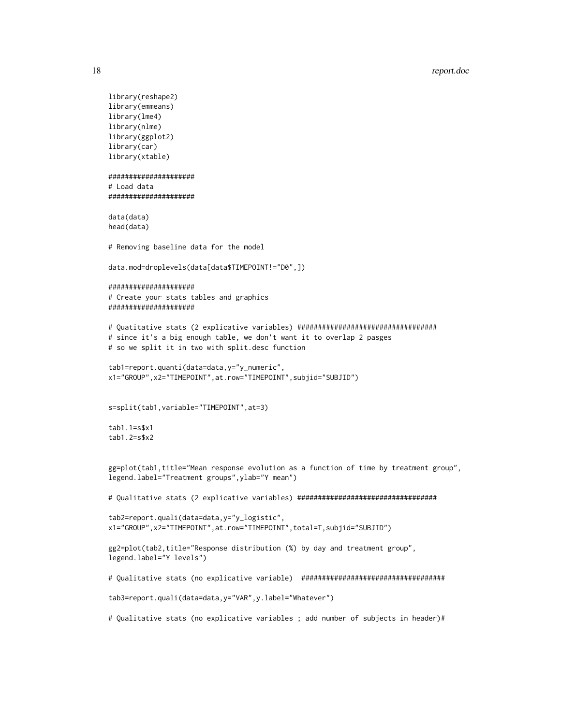```
library(reshape2)
library(emmeans)
library(lme4)
library(nlme)
library(ggplot2)
library(car)
library(xtable)
#####################
# Load data
#####################
data(data)
head(data)
# Removing baseline data for the model
data.mod=droplevels(data[data$TIMEPOINT!="D0",])
#####################
# Create your stats tables and graphics
#####################
# Quatitative stats (2 explicative variables) ##################################
# since it's a big enough table, we don't want it to overlap 2 pasges
# so we split it in two with split.desc function
tab1=report.quanti(data=data,y="y_numeric",
x1="GROUP",x2="TIMEPOINT",at.row="TIMEPOINT",subjid="SUBJID")
s=split(tab1,variable="TIMEPOINT",at=3)
tab1.1=s$x1
tab1.2=s$x2
gg=plot(tab1,title="Mean response evolution as a function of time by treatment group",
legend.label="Treatment groups",ylab="Y mean")
# Qualitative stats (2 explicative variables) ##################################
tab2=report.quali(data=data,y="y_logistic",
x1="GROUP",x2="TIMEPOINT",at.row="TIMEPOINT",total=T,subjid="SUBJID")
gg2=plot(tab2,title="Response distribution (%) by day and treatment group",
legend.label="Y levels")
# Qualitative stats (no explicative variable) ###################################
tab3=report.quali(data=data,y="VAR",y.label="Whatever")
# Qualitative stats (no explicative variables ; add number of subjects in header)#
```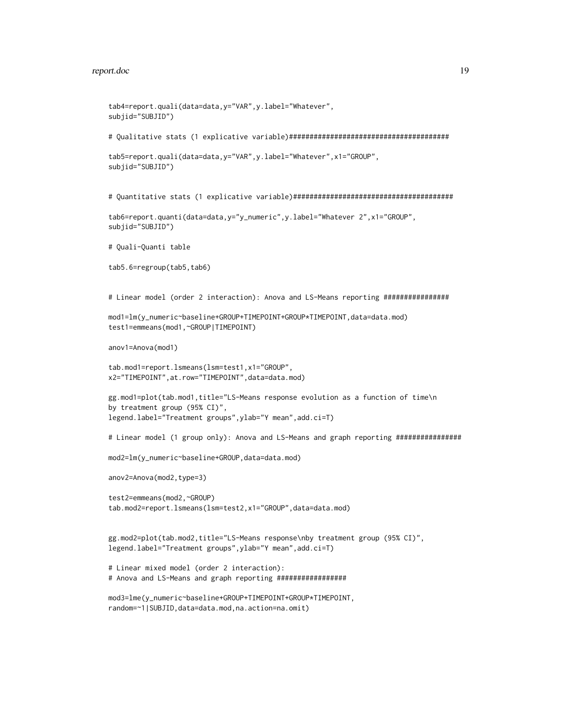```
tab4=report.quali(data=data,y="VAR",y.label="Whatever",
subjid="SUBJID")
# Qualitative stats (1 explicative variable)#######################################
tab5=report.quali(data=data,y="VAR",y.label="Whatever",x1="GROUP",
subjid="SUBJID")
# Quantitative stats (1 explicative variable)#######################################
tab6=report.quanti(data=data,y="y_numeric",y.label="Whatever 2",x1="GROUP",
subjid="SUBJID")
# Quali-Quanti table
tab5.6=regroup(tab5,tab6)
# Linear model (order 2 interaction): Anova and LS-Means reporting ################
mod1=lm(y_numeric~baseline+GROUP+TIMEPOINT+GROUP*TIMEPOINT,data=data.mod)
test1=emmeans(mod1,~GROUP|TIMEPOINT)
anov1=Anova(mod1)
tab.mod1=report.lsmeans(lsm=test1,x1="GROUP",
x2="TIMEPOINT",at.row="TIMEPOINT",data=data.mod)
gg.mod1=plot(tab.mod1,title="LS-Means response evolution as a function of time\n
by treatment group (95% CI)",
legend.label="Treatment groups",ylab="Y mean",add.ci=T)
# Linear model (1 group only): Anova and LS-Means and graph reporting ################
mod2=lm(y_numeric~baseline+GROUP,data=data.mod)
anov2=Anova(mod2,type=3)
test2=emmeans(mod2,~GROUP)
tab.mod2=report.lsmeans(lsm=test2,x1="GROUP",data=data.mod)
gg.mod2=plot(tab.mod2,title="LS-Means response\nby treatment group (95% CI)",
legend.label="Treatment groups",ylab="Y mean",add.ci=T)
# Linear mixed model (order 2 interaction):
# Anova and LS-Means and graph reporting #################
mod3=lme(y_numeric~baseline+GROUP+TIMEPOINT+GROUP*TIMEPOINT,
random=~1|SUBJID,data=data.mod,na.action=na.omit)
```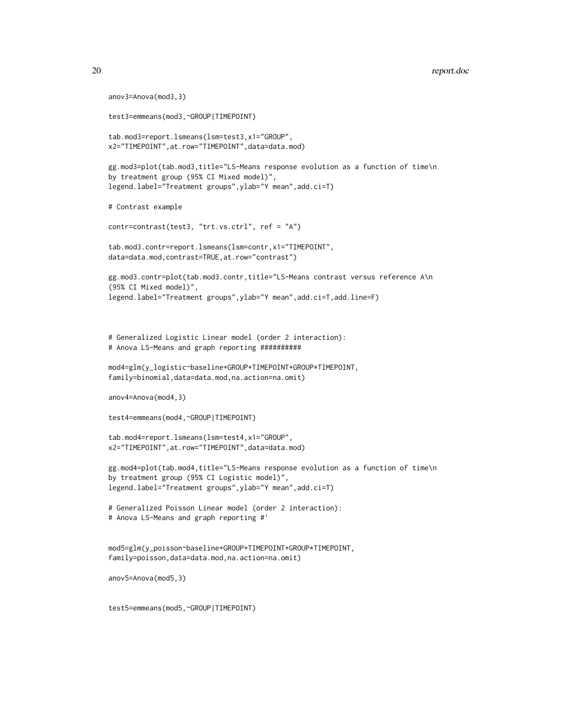```
anov3=Anova(mod3,3)
test3=emmeans(mod3,~GROUP|TIMEPOINT)
tab.mod3=report.lsmeans(lsm=test3,x1="GROUP",
x2="TIMEPOINT",at.row="TIMEPOINT",data=data.mod)
gg.mod3=plot(tab.mod3,title="LS-Means response evolution as a function of time\n
by treatment group (95% CI Mixed model)",
legend.label="Treatment groups",ylab="Y mean",add.ci=T)
# Contrast example
contr=contrast(test3, "trt.vs.ctrl", ref = "A")
tab.mod3.contr=report.lsmeans(lsm=contr,x1="TIMEPOINT",
data=data.mod,contrast=TRUE,at.row="contrast")
gg.mod3.contr=plot(tab.mod3.contr,title="LS-Means contrast versus reference A\n
(95% CI Mixed model)",
legend.label="Treatment groups",ylab="Y mean",add.ci=T,add.line=F)
# Generalized Logistic Linear model (order 2 interaction):
# Anova LS-Means and graph reporting ##########
mod4=glm(y_logistic~baseline+GROUP+TIMEPOINT+GROUP*TIMEPOINT,
family=binomial,data=data.mod,na.action=na.omit)
anov4=Anova(mod4,3)
test4=emmeans(mod4,~GROUP|TIMEPOINT)
tab.mod4=report.lsmeans(lsm=test4,x1="GROUP",
x2="TIMEPOINT",at.row="TIMEPOINT",data=data.mod)
gg.mod4=plot(tab.mod4,title="LS-Means response evolution as a function of time\n
by treatment group (95% CI Logistic model)",
legend.label="Treatment groups",ylab="Y mean",add.ci=T)
# Generalized Poisson Linear model (order 2 interaction):
# Anova LS-Means and graph reporting #'
mod5=glm(y_poisson~baseline+GROUP+TIMEPOINT+GROUP*TIMEPOINT,
family=poisson,data=data.mod,na.action=na.omit)
anov5=Anova(mod5,3)
```

```
test5=emmeans(mod5,~GROUP|TIMEPOINT)
```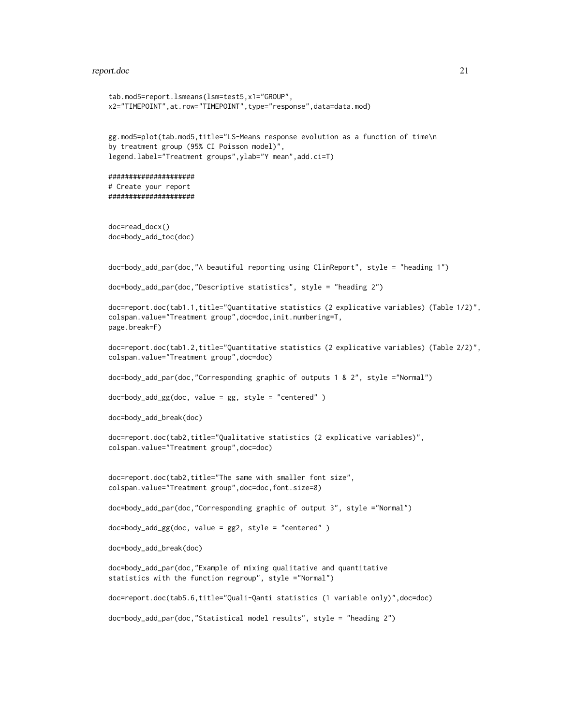```
tab.mod5=report.lsmeans(lsm=test5,x1="GROUP",
x2="TIMEPOINT",at.row="TIMEPOINT",type="response",data=data.mod)
gg.mod5=plot(tab.mod5,title="LS-Means response evolution as a function of time\n
by treatment group (95% CI Poisson model)",
legend.label="Treatment groups",ylab="Y mean",add.ci=T)
#####################
# Create your report
#####################
doc=read_docx()
doc=body_add_toc(doc)
doc=body_add_par(doc,"A beautiful reporting using ClinReport", style = "heading 1")
doc=body_add_par(doc,"Descriptive statistics", style = "heading 2")
doc=report.doc(tab1.1,title="Quantitative statistics (2 explicative variables) (Table 1/2)",
colspan.value="Treatment group",doc=doc,init.numbering=T,
page.break=F)
doc=report.doc(tab1.2,title="Quantitative statistics (2 explicative variables) (Table 2/2)",
colspan.value="Treatment group",doc=doc)
doc=body_add_par(doc,"Corresponding graphic of outputs 1 & 2", style ="Normal")
doc=body_add_gg(doc, value = gg, style = "centered" )
doc=body_add_break(doc)
doc=report.doc(tab2,title="Qualitative statistics (2 explicative variables)",
colspan.value="Treatment group",doc=doc)
doc=report.doc(tab2,title="The same with smaller font size",
colspan.value="Treatment group",doc=doc,font.size=8)
doc=body_add_par(doc,"Corresponding graphic of output 3", style ="Normal")
doc=body_add_gg(doc, value = gg2, style = "centered" )
doc=body_add_break(doc)
doc=body_add_par(doc,"Example of mixing qualitative and quantitative
statistics with the function regroup", style ="Normal")
doc=report.doc(tab5.6,title="Quali-Qanti statistics (1 variable only)",doc=doc)
doc=body_add_par(doc,"Statistical model results", style = "heading 2")
```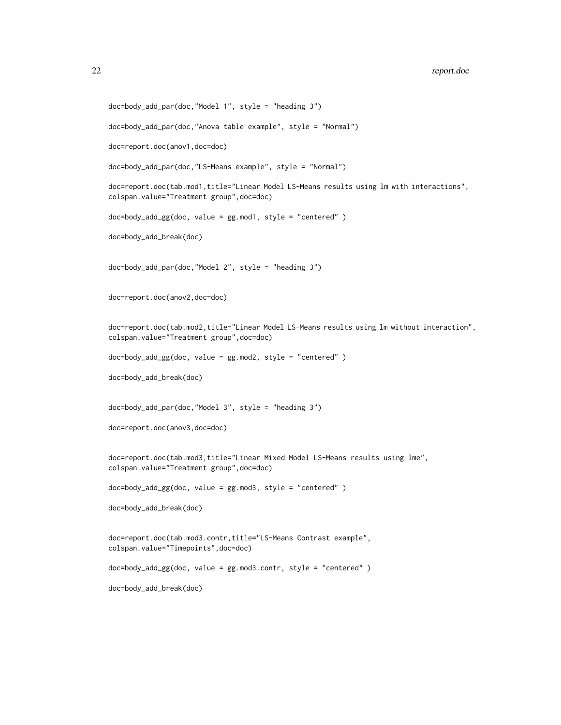```
doc=body_add_par(doc,"Model 1", style = "heading 3")
doc=body_add_par(doc,"Anova table example", style = "Normal")
doc=report.doc(anov1,doc=doc)
doc=body_add_par(doc,"LS-Means example", style = "Normal")
doc=report.doc(tab.mod1,title="Linear Model LS-Means results using lm with interactions",
colspan.value="Treatment group",doc=doc)
doc=body_add_gg(doc, value = gg.mod1, style = "centered" )
doc=body_add_break(doc)
doc=body_add_par(doc,"Model 2", style = "heading 3")
doc=report.doc(anov2,doc=doc)
doc=report.doc(tab.mod2,title="Linear Model LS-Means results using lm without interaction",
colspan.value="Treatment group",doc=doc)
doc=body_add_gg(doc, value = gg.mod2, style = "centered" )
doc=body_add_break(doc)
doc=body_add_par(doc,"Model 3", style = "heading 3")
doc=report.doc(anov3,doc=doc)
doc=report.doc(tab.mod3,title="Linear Mixed Model LS-Means results using lme",
colspan.value="Treatment group",doc=doc)
doc=body_add_gg(doc, value = gg.mod3, style = "centered" )
doc=body_add_break(doc)
doc=report.doc(tab.mod3.contr,title="LS-Means Contrast example",
colspan.value="Timepoints",doc=doc)
doc=body_add_gg(doc, value = gg.mod3.contr, style = "centered" )
doc=body_add_break(doc)
```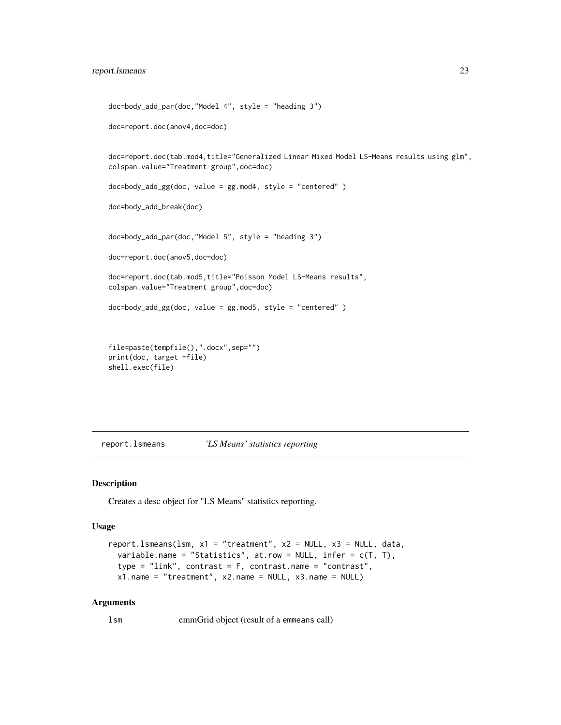```
doc=body_add_par(doc,"Model 4", style = "heading 3")
doc=report.doc(anov4,doc=doc)
doc=report.doc(tab.mod4,title="Generalized Linear Mixed Model LS-Means results using glm",
colspan.value="Treatment group",doc=doc)
doc=body_add_gg(doc, value = gg.mod4, style = "centered" )
doc=body_add_break(doc)
doc=body_add_par(doc,"Model 5", style = "heading 3")
doc=report.doc(anov5,doc=doc)
doc=report.doc(tab.mod5,title="Poisson Model LS-Means results",
colspan.value="Treatment group",doc=doc)
doc=body_add_gg(doc, value = gg.mod5, style = "centered" )
file=paste(tempfile(),".docx",sep="")
print(doc, target =file)
```

```
shell.exec(file)
```
<span id="page-22-1"></span>report.lsmeans *'LS Means' statistics reporting*

#### Description

Creates a desc object for "LS Means" statistics reporting.

#### Usage

```
report.lsmeans(lsm, x1 = "treatment", x2 = NULL, x3 = NULL, data,
  variable.name = "Statistics", at.row = NULL, infer = c(T, T),
  type = "link", contrast = F, contrast.name = "contrast",
 x1.name = "treatment", x2.name = NULL, x3.name = NULL)
```
#### Arguments

lsm emmGrid object (result of a emmeans call)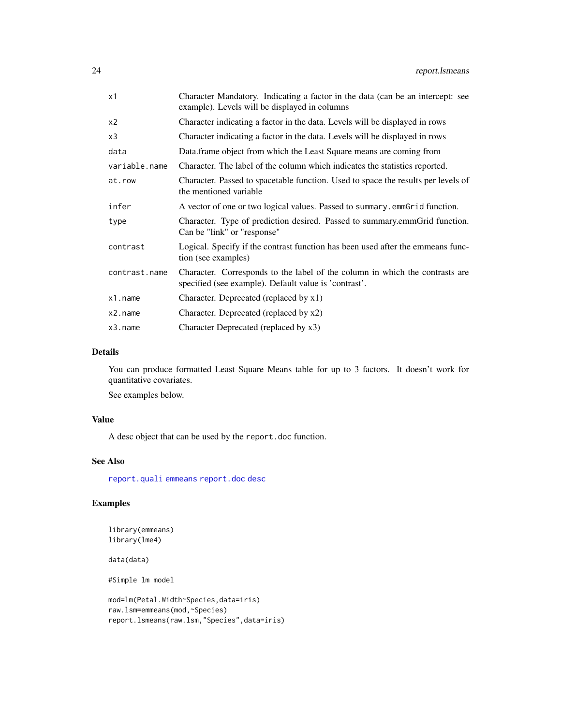<span id="page-23-0"></span>

| x1            | Character Mandatory. Indicating a factor in the data (can be an intercept: see<br>example). Levels will be displayed in columns       |
|---------------|---------------------------------------------------------------------------------------------------------------------------------------|
| x2            | Character indicating a factor in the data. Levels will be displayed in rows                                                           |
| x3            | Character indicating a factor in the data. Levels will be displayed in rows                                                           |
| data          | Data frame object from which the Least Square means are coming from                                                                   |
| variable.name | Character. The label of the column which indicates the statistics reported.                                                           |
| at.row        | Character. Passed to spacetable function. Used to space the results per levels of<br>the mentioned variable                           |
| infer         | A vector of one or two logical values. Passed to summary. emmGrid function.                                                           |
| type          | Character. Type of prediction desired. Passed to summary.emmGrid function.<br>Can be "link" or "response"                             |
| contrast      | Logical. Specify if the contrast function has been used after the emmeans func-<br>tion (see examples)                                |
| contrast.name | Character. Corresponds to the label of the column in which the contrasts are<br>specified (see example). Default value is 'contrast'. |
| x1.name       | Character. Deprecated (replaced by x1)                                                                                                |
| x2.name       | Character. Deprecated (replaced by x2)                                                                                                |
| x3.name       | Character Deprecated (replaced by x3)                                                                                                 |

#### Details

You can produce formatted Least Square Means table for up to 3 factors. It doesn't work for quantitative covariates.

See examples below.

#### Value

A desc object that can be used by the report.doc function.

# See Also

[report.quali](#page-24-1) [emmeans](#page-0-0) [report.doc](#page-15-1) [desc](#page-5-1)

# Examples

library(emmeans) library(lme4)

data(data)

#Simple lm model

```
mod=lm(Petal.Width~Species,data=iris)
raw.lsm=emmeans(mod,~Species)
report.lsmeans(raw.lsm,"Species",data=iris)
```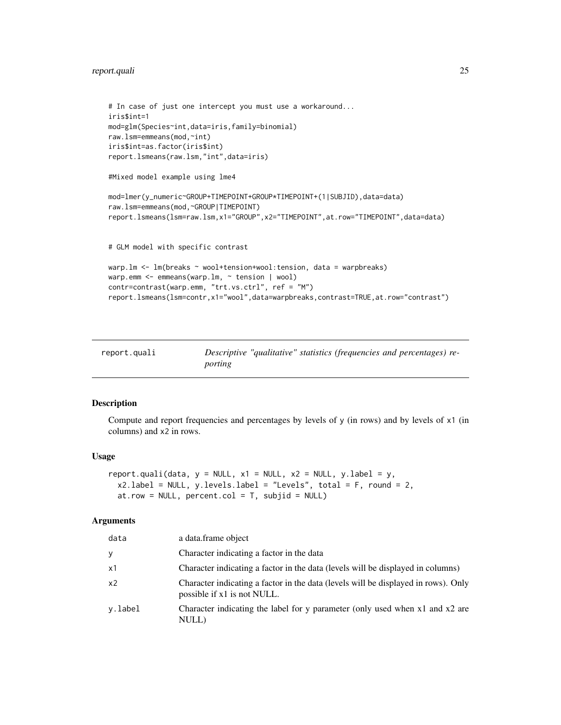# <span id="page-24-0"></span>report.quali 25

```
# In case of just one intercept you must use a workaround...
iris$int=1
mod=glm(Species~int,data=iris,family=binomial)
raw.lsm=emmeans(mod,~int)
iris$int=as.factor(iris$int)
report.lsmeans(raw.lsm,"int",data=iris)
#Mixed model example using lme4
mod=lmer(y_numeric~GROUP+TIMEPOINT+GROUP*TIMEPOINT+(1|SUBJID),data=data)
raw.lsm=emmeans(mod,~GROUP|TIMEPOINT)
report.lsmeans(lsm=raw.lsm,x1="GROUP",x2="TIMEPOINT",at.row="TIMEPOINT",data=data)
# GLM model with specific contrast
warp.lm <- lm(breaks ~ wool+tension+wool:tension, data = warpbreaks)
warp.emm <- emmeans(warp.lm, ~ tension | wool)
contr=contrast(warp.emm, "trt.vs.ctrl", ref = "M")
report.lsmeans(lsm=contr,x1="wool",data=warpbreaks,contrast=TRUE,at.row="contrast")
```
<span id="page-24-1"></span>

| report.quali | Descriptive "qualitative" statistics (frequencies and percentages) re- |
|--------------|------------------------------------------------------------------------|
|              | porting                                                                |

# Description

Compute and report frequencies and percentages by levels of y (in rows) and by levels of x1 (in columns) and x2 in rows.

#### Usage

```
report.quali(data, y = NULL, x1 = NULL, x2 = NULL, yu2 = b,
 x2u.label = NULL, y.levels.label = "Levels", total = F, round = 2,
 at.row = NULL, percent.col = T, subjid = NULL)
```
#### Arguments

| data           | a data.frame object                                                                                               |
|----------------|-------------------------------------------------------------------------------------------------------------------|
| У              | Character indicating a factor in the data                                                                         |
| x1             | Character indicating a factor in the data (levels will be displayed in columns)                                   |
| x <sub>2</sub> | Character indicating a factor in the data (levels will be displayed in rows). Only<br>possible if x1 is not NULL. |
| v.label        | Character indicating the label for y parameter (only used when x1 and x2 are<br>NULL)                             |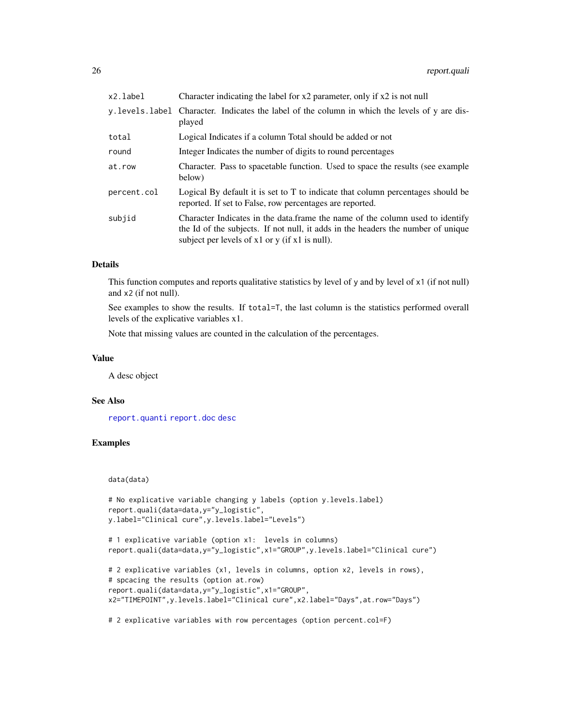<span id="page-25-0"></span>

| Character indicating the label for x2 parameter, only if x2 is not null                                                                                                                                                   |
|---------------------------------------------------------------------------------------------------------------------------------------------------------------------------------------------------------------------------|
| y.levels.label Character. Indicates the label of the column in which the levels of y are dis-<br>played                                                                                                                   |
| Logical Indicates if a column Total should be added or not                                                                                                                                                                |
| Integer Indicates the number of digits to round percentages                                                                                                                                                               |
| Character. Pass to spacetable function. Used to space the results (see example<br>below)                                                                                                                                  |
| Logical By default it is set to T to indicate that column percentages should be<br>reported. If set to False, row percentages are reported.                                                                               |
| Character Indicates in the data.frame the name of the column used to identify<br>the Id of the subjects. If not null, it adds in the headers the number of unique<br>subject per levels of $x1$ or $y$ (if $x1$ is null). |
|                                                                                                                                                                                                                           |

#### Details

This function computes and reports qualitative statistics by level of y and by level of x1 (if not null) and x2 (if not null).

See examples to show the results. If total=T, the last column is the statistics performed overall levels of the explicative variables x1.

Note that missing values are counted in the calculation of the percentages.

#### Value

A desc object

#### See Also

[report.quanti](#page-26-1) [report.doc](#page-15-1) [desc](#page-5-1)

# Examples

data(data)

```
# No explicative variable changing y labels (option y.levels.label)
report.quali(data=data,y="y_logistic",
y.label="Clinical cure",y.levels.label="Levels")
```

```
# 1 explicative variable (option x1: levels in columns)
report.quali(data=data,y="y_logistic",x1="GROUP",y.levels.label="Clinical cure")
```

```
# 2 explicative variables (x1, levels in columns, option x2, levels in rows),
# spcacing the results (option at.row)
report.quali(data=data,y="y_logistic",x1="GROUP",
x2="TIMEPOINT",y.levels.label="Clinical cure",x2.label="Days",at.row="Days")
```
# 2 explicative variables with row percentages (option percent.col=F)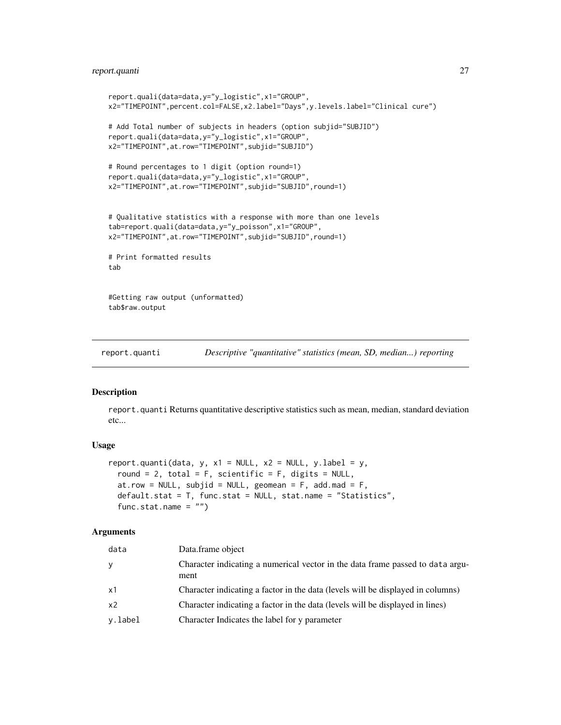# <span id="page-26-0"></span>report.quanti 27

```
report.quali(data=data,y="y_logistic",x1="GROUP",
x2="TIMEPOINT",percent.col=FALSE,x2.label="Days",y.levels.label="Clinical cure")
# Add Total number of subjects in headers (option subjid="SUBJID")
report.quali(data=data,y="y_logistic",x1="GROUP",
x2="TIMEPOINT",at.row="TIMEPOINT",subjid="SUBJID")
# Round percentages to 1 digit (option round=1)
report.quali(data=data,y="y_logistic",x1="GROUP",
x2="TIMEPOINT",at.row="TIMEPOINT",subjid="SUBJID",round=1)
# Qualitative statistics with a response with more than one levels
tab=report.quali(data=data,y="y_poisson",x1="GROUP",
x2="TIMEPOINT",at.row="TIMEPOINT",subjid="SUBJID",round=1)
# Print formatted results
tab
#Getting raw output (unformatted)
```

```
tab$raw.output
```
<span id="page-26-1"></span>report.quanti *Descriptive "quantitative" statistics (mean, SD, median...) reporting*

#### Description

report.quanti Returns quantitative descriptive statistics such as mean, median, standard deviation etc...

#### Usage

```
report.quanti(data, y, x1 = NULL, x2 = NULL, y.label = y,
  round = 2, total = F, scientific = F, digits = NULL,
 at.row = NULL, subjid = NULL, geomean = F, add.mad = F,
 default.stat = T, func.stat = NULL, stat.name = "Statistics",
  func.stat.name = "")
```
#### Arguments

| data           | Data.frame object                                                                      |
|----------------|----------------------------------------------------------------------------------------|
| У              | Character indicating a numerical vector in the data frame passed to data argu-<br>ment |
| x1             | Character indicating a factor in the data (levels will be displayed in columns)        |
| x <sub>2</sub> | Character indicating a factor in the data (levels will be displayed in lines)          |
| v.label        | Character Indicates the label for y parameter                                          |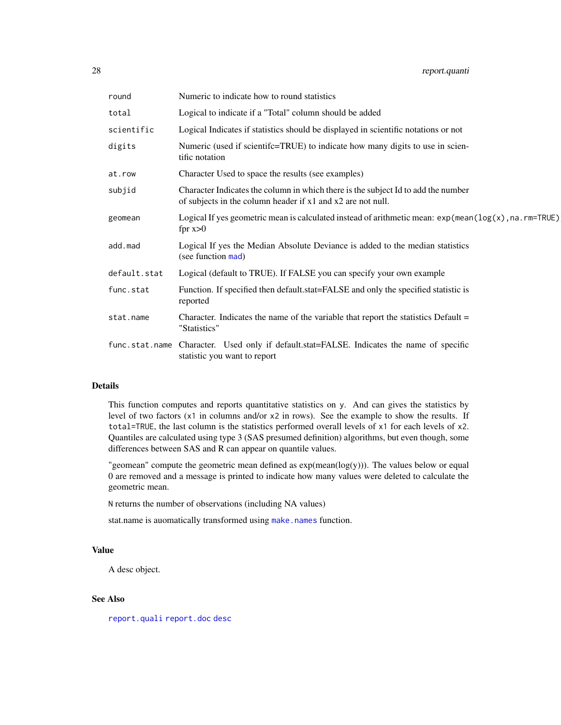<span id="page-27-0"></span>

| round        | Numeric to indicate how to round statistics                                                                                                      |
|--------------|--------------------------------------------------------------------------------------------------------------------------------------------------|
| total        | Logical to indicate if a "Total" column should be added                                                                                          |
| scientific   | Logical Indicates if statistics should be displayed in scientific notations or not                                                               |
| digits       | Numeric (used if scientifc=TRUE) to indicate how many digits to use in scien-<br>tific notation                                                  |
| at.row       | Character Used to space the results (see examples)                                                                                               |
| subjid       | Character Indicates the column in which there is the subject Id to add the number<br>of subjects in the column header if x1 and x2 are not null. |
| geomean      | Logical If yes geometric mean is calculated instead of arithmetic mean: $exp(mean (log(x), na.rm=TRUE))$<br>fpr $x>0$                            |
| add.mad      | Logical If yes the Median Absolute Deviance is added to the median statistics<br>(see function mad)                                              |
| default.stat | Logical (default to TRUE). If FALSE you can specify your own example                                                                             |
| func.stat    | Function. If specified then default stat=FALSE and only the specified statistic is<br>reported                                                   |
| stat.name    | Character. Indicates the name of the variable that report the statistics Default $=$<br>"Statistics"                                             |
|              | func.stat.name Character. Used only if default.stat=FALSE. Indicates the name of specific<br>statistic you want to report                        |

#### Details

This function computes and reports quantitative statistics on y. And can gives the statistics by level of two factors (x1 in columns and/or x2 in rows). See the example to show the results. If total=TRUE, the last column is the statistics performed overall levels of x1 for each levels of x2. Quantiles are calculated using type 3 (SAS presumed definition) algorithms, but even though, some differences between SAS and R can appear on quantile values.

"geomean" compute the geometric mean defined as  $exp(mean(log(y)))$ . The values below or equal 0 are removed and a message is printed to indicate how many values were deleted to calculate the geometric mean.

N returns the number of observations (including NA values)

stat.name is auomatically transformed using [make.names](#page-0-0) function.

#### Value

A desc object.

# See Also

[report.quali](#page-24-1) [report.doc](#page-15-1) [desc](#page-5-1)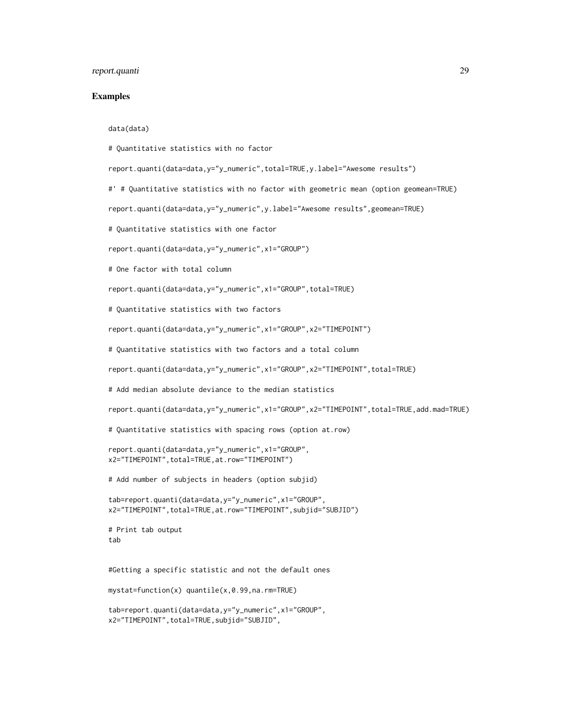#### report.quanti 29

#### Examples

#### data(data)

# Quantitative statistics with no factor

report.quanti(data=data,y="y\_numeric",total=TRUE,y.label="Awesome results")

#' # Quantitative statistics with no factor with geometric mean (option geomean=TRUE)

report.quanti(data=data,y="y\_numeric",y.label="Awesome results",geomean=TRUE)

# Quantitative statistics with one factor

report.quanti(data=data,y="y\_numeric",x1="GROUP")

# One factor with total column

report.quanti(data=data,y="y\_numeric",x1="GROUP",total=TRUE)

# Quantitative statistics with two factors

report.quanti(data=data,y="y\_numeric",x1="GROUP",x2="TIMEPOINT")

# Quantitative statistics with two factors and a total column

report.quanti(data=data,y="y\_numeric",x1="GROUP",x2="TIMEPOINT",total=TRUE)

# Add median absolute deviance to the median statistics

report.quanti(data=data,y="y\_numeric",x1="GROUP",x2="TIMEPOINT",total=TRUE,add.mad=TRUE)

# Quantitative statistics with spacing rows (option at.row)

```
report.quanti(data=data,y="y_numeric",x1="GROUP",
x2="TIMEPOINT",total=TRUE,at.row="TIMEPOINT")
```
# Add number of subjects in headers (option subjid)

```
tab=report.quanti(data=data,y="y_numeric",x1="GROUP",
x2="TIMEPOINT",total=TRUE,at.row="TIMEPOINT",subjid="SUBJID")
```
# Print tab output tab

#Getting a specific statistic and not the default ones

mystat=function(x) quantile(x,0.99,na.rm=TRUE)

```
tab=report.quanti(data=data,y="y_numeric",x1="GROUP",
x2="TIMEPOINT",total=TRUE,subjid="SUBJID",
```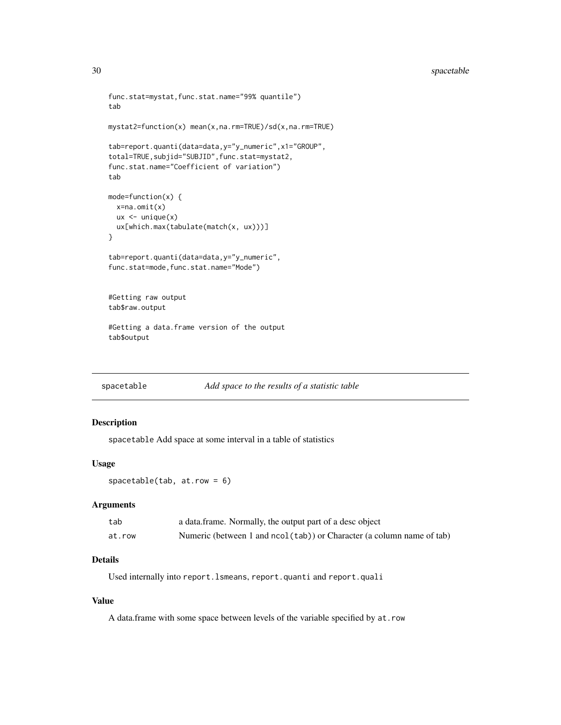# <span id="page-29-0"></span>30 spacetable

```
func.stat=mystat,func.stat.name="99% quantile")
tab
mystat2=function(x) mean(x,na.rm=TRUE)/sd(x,na.rm=TRUE)
tab=report.quanti(data=data,y="y_numeric",x1="GROUP",
total=TRUE,subjid="SUBJID",func.stat=mystat2,
func.stat.name="Coefficient of variation")
tab
mode=function(x) {
  x=na.omit(x)
  ux < - unique(x)ux[which.max(tabulate(match(x, ux)))]
}
tab=report.quanti(data=data,y="y_numeric",
func.stat=mode,func.stat.name="Mode")
#Getting raw output
tab$raw.output
#Getting a data.frame version of the output
tab$output
```
<span id="page-29-1"></span>spacetable *Add space to the results of a statistic table*

# Description

spacetable Add space at some interval in a table of statistics

#### Usage

spacetable(tab, at.row = 6)

#### Arguments

| tab    | a data.frame. Normally, the output part of a desc object               |
|--------|------------------------------------------------------------------------|
| at.row | Numeric (between 1 and ncol (tab)) or Character (a column name of tab) |

# Details

Used internally into report.lsmeans, report.quanti and report.quali

#### Value

A data.frame with some space between levels of the variable specified by at.row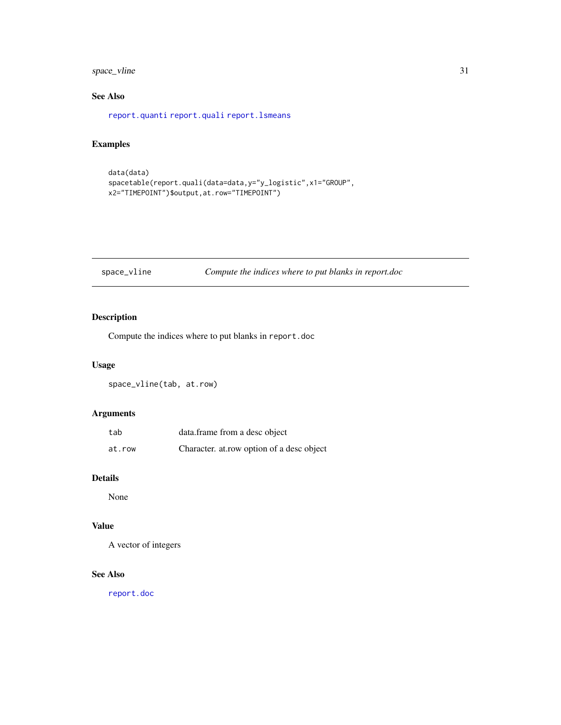# <span id="page-30-0"></span>space\_vline 31

# See Also

[report.quanti](#page-26-1) [report.quali](#page-24-1) [report.lsmeans](#page-22-1)

# Examples

```
data(data)
spacetable(report.quali(data=data,y="y_logistic",x1="GROUP",
x2="TIMEPOINT")$output,at.row="TIMEPOINT")
```
# space\_vline *Compute the indices where to put blanks in report.doc*

# Description

Compute the indices where to put blanks in report.doc

# Usage

space\_vline(tab, at.row)

#### Arguments

| tab    | data.frame from a desc object             |
|--------|-------------------------------------------|
| at.row | Character. at row option of a desc object |

# Details

None

# Value

A vector of integers

# See Also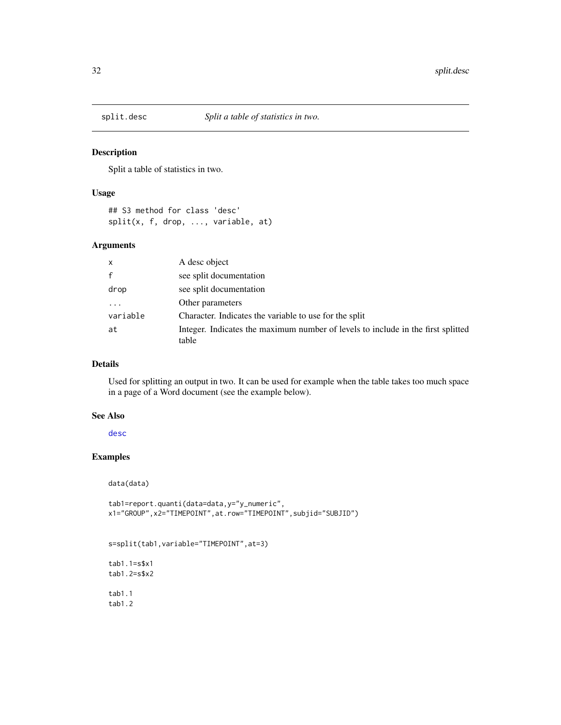<span id="page-31-0"></span>

Split a table of statistics in two.

#### Usage

## S3 method for class 'desc' split(x, f, drop, ..., variable, at)

# Arguments

| $\mathsf{x}$ | A desc object                                                                             |
|--------------|-------------------------------------------------------------------------------------------|
|              | see split documentation                                                                   |
| drop         | see split documentation                                                                   |
| .            | Other parameters                                                                          |
| variable     | Character. Indicates the variable to use for the split                                    |
| at           | Integer. Indicates the maximum number of levels to include in the first splitted<br>table |

# Details

Used for splitting an output in two. It can be used for example when the table takes too much space in a page of a Word document (see the example below).

#### See Also

[desc](#page-5-1)

#### Examples

data(data)

```
tab1=report.quanti(data=data,y="y_numeric",
x1="GROUP",x2="TIMEPOINT",at.row="TIMEPOINT",subjid="SUBJID")
```

```
s=split(tab1,variable="TIMEPOINT",at=3)
```
tab1.1=s\$x1 tab1.2=s\$x2

tab1.1 tab1.2